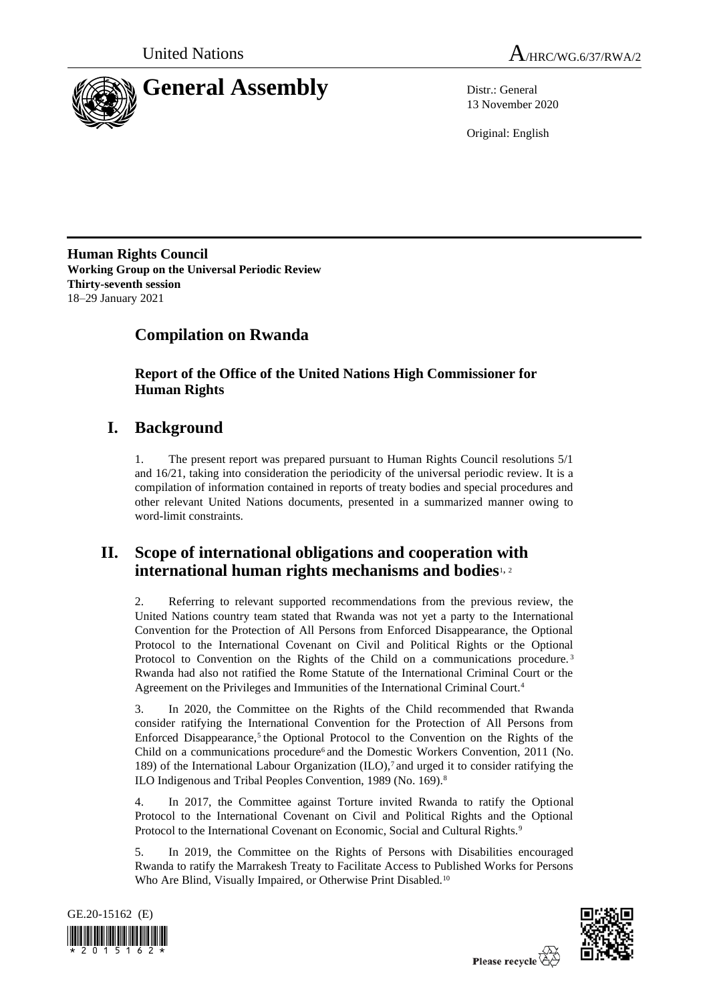



13 November 2020

Original: English

**Human Rights Council Working Group on the Universal Periodic Review Thirty-seventh session** 18–29 January 2021

# **Compilation on Rwanda**

**Report of the Office of the United Nations High Commissioner for Human Rights**

# **I. Background**

1. The present report was prepared pursuant to Human Rights Council resolutions 5/1 and 16/21, taking into consideration the periodicity of the universal periodic review. It is a compilation of information contained in reports of treaty bodies and special procedures and other relevant United Nations documents, presented in a summarized manner owing to word-limit constraints.

## **II. Scope of international obligations and cooperation with international human rights mechanisms and bodies**1, <sup>2</sup>

2. Referring to relevant supported recommendations from the previous review, the United Nations country team stated that Rwanda was not yet a party to the International Convention for the Protection of All Persons from Enforced Disappearance, the Optional Protocol to the International Covenant on Civil and Political Rights or the Optional Protocol to Convention on the Rights of the Child on a communications procedure.<sup>3</sup> Rwanda had also not ratified the Rome Statute of the International Criminal Court or the Agreement on the Privileges and Immunities of the International Criminal Court.<sup>4</sup>

3. In 2020, the Committee on the Rights of the Child recommended that Rwanda consider ratifying the International Convention for the Protection of All Persons from Enforced Disappearance,<sup>5</sup> the Optional Protocol to the Convention on the Rights of the Child on a communications procedure<sup>6</sup> and the Domestic Workers Convention, 2011 (No. 189) of the International Labour Organization (ILO),<sup>7</sup> and urged it to consider ratifying the ILO Indigenous and Tribal Peoples Convention, 1989 (No. 169).<sup>8</sup>

4. In 2017, the Committee against Torture invited Rwanda to ratify the Optional Protocol to the International Covenant on Civil and Political Rights and the Optional Protocol to the International Covenant on Economic, Social and Cultural Rights.<sup>9</sup>

5. In 2019, the Committee on the Rights of Persons with Disabilities encouraged Rwanda to ratify the Marrakesh Treaty to Facilitate Access to Published Works for Persons Who Are Blind, Visually Impaired, or Otherwise Print Disabled.<sup>10</sup>



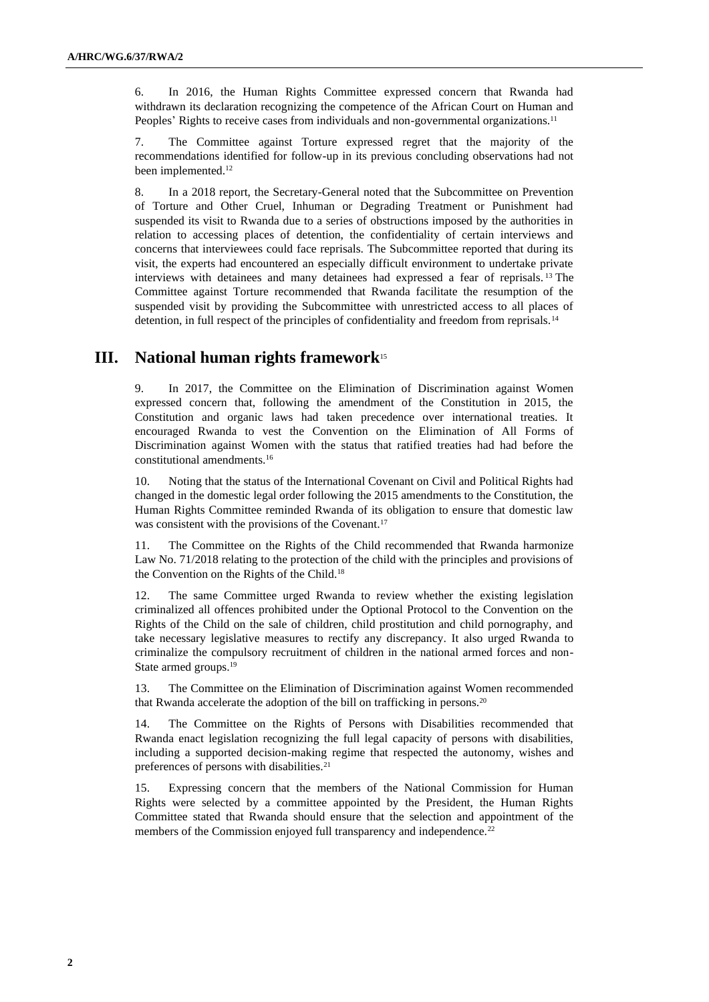6. In 2016, the Human Rights Committee expressed concern that Rwanda had withdrawn its declaration recognizing the competence of the African Court on Human and Peoples' Rights to receive cases from individuals and non-governmental organizations.<sup>11</sup>

7. The Committee against Torture expressed regret that the majority of the recommendations identified for follow-up in its previous concluding observations had not been implemented.<sup>12</sup>

8. In a 2018 report, the Secretary-General noted that the Subcommittee on Prevention of Torture and Other Cruel, Inhuman or Degrading Treatment or Punishment had suspended its visit to Rwanda due to a series of obstructions imposed by the authorities in relation to accessing places of detention, the confidentiality of certain interviews and concerns that interviewees could face reprisals. The Subcommittee reported that during its visit, the experts had encountered an especially difficult environment to undertake private interviews with detainees and many detainees had expressed a fear of reprisals. <sup>13</sup> The Committee against Torture recommended that Rwanda facilitate the resumption of the suspended visit by providing the Subcommittee with unrestricted access to all places of detention, in full respect of the principles of confidentiality and freedom from reprisals.<sup>14</sup>

## **III. National human rights framework**<sup>15</sup>

9. In 2017, the Committee on the Elimination of Discrimination against Women expressed concern that, following the amendment of the Constitution in 2015, the Constitution and organic laws had taken precedence over international treaties. It encouraged Rwanda to vest the Convention on the Elimination of All Forms of Discrimination against Women with the status that ratified treaties had had before the constitutional amendments.<sup>16</sup>

10. Noting that the status of the International Covenant on Civil and Political Rights had changed in the domestic legal order following the 2015 amendments to the Constitution, the Human Rights Committee reminded Rwanda of its obligation to ensure that domestic law was consistent with the provisions of the Covenant.<sup>17</sup>

11. The Committee on the Rights of the Child recommended that Rwanda harmonize Law No. 71/2018 relating to the protection of the child with the principles and provisions of the Convention on the Rights of the Child.<sup>18</sup>

12. The same Committee urged Rwanda to review whether the existing legislation criminalized all offences prohibited under the Optional Protocol to the Convention on the Rights of the Child on the sale of children, child prostitution and child pornography, and take necessary legislative measures to rectify any discrepancy. It also urged Rwanda to criminalize the compulsory recruitment of children in the national armed forces and non-State armed groups.<sup>19</sup>

13. The Committee on the Elimination of Discrimination against Women recommended that Rwanda accelerate the adoption of the bill on trafficking in persons.<sup>20</sup>

14. The Committee on the Rights of Persons with Disabilities recommended that Rwanda enact legislation recognizing the full legal capacity of persons with disabilities, including a supported decision-making regime that respected the autonomy, wishes and preferences of persons with disabilities.<sup>21</sup>

15. Expressing concern that the members of the National Commission for Human Rights were selected by a committee appointed by the President, the Human Rights Committee stated that Rwanda should ensure that the selection and appointment of the members of the Commission enjoyed full transparency and independence.<sup>22</sup>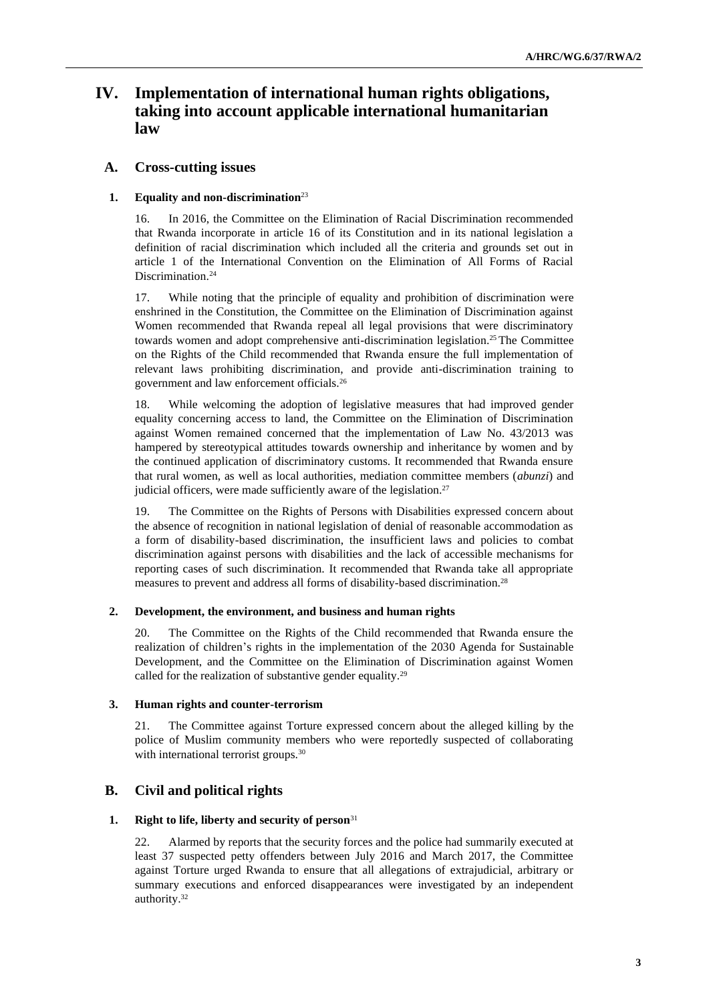## **IV. Implementation of international human rights obligations, taking into account applicable international humanitarian law**

## **A. Cross-cutting issues**

## **1. Equality and non-discrimination**<sup>23</sup>

16. In 2016, the Committee on the Elimination of Racial Discrimination recommended that Rwanda incorporate in article 16 of its Constitution and in its national legislation a definition of racial discrimination which included all the criteria and grounds set out in article 1 of the International Convention on the Elimination of All Forms of Racial Discrimination.<sup>24</sup>

17. While noting that the principle of equality and prohibition of discrimination were enshrined in the Constitution, the Committee on the Elimination of Discrimination against Women recommended that Rwanda repeal all legal provisions that were discriminatory towards women and adopt comprehensive anti-discrimination legislation.<sup>25</sup> The Committee on the Rights of the Child recommended that Rwanda ensure the full implementation of relevant laws prohibiting discrimination, and provide anti-discrimination training to government and law enforcement officials.<sup>26</sup>

18. While welcoming the adoption of legislative measures that had improved gender equality concerning access to land, the Committee on the Elimination of Discrimination against Women remained concerned that the implementation of Law No. 43/2013 was hampered by stereotypical attitudes towards ownership and inheritance by women and by the continued application of discriminatory customs. It recommended that Rwanda ensure that rural women, as well as local authorities, mediation committee members (*abunzi*) and judicial officers, were made sufficiently aware of the legislation.<sup>27</sup>

19. The Committee on the Rights of Persons with Disabilities expressed concern about the absence of recognition in national legislation of denial of reasonable accommodation as a form of disability-based discrimination, the insufficient laws and policies to combat discrimination against persons with disabilities and the lack of accessible mechanisms for reporting cases of such discrimination. It recommended that Rwanda take all appropriate measures to prevent and address all forms of disability-based discrimination.<sup>28</sup>

## **2. Development, the environment, and business and human rights**

20. The Committee on the Rights of the Child recommended that Rwanda ensure the realization of children's rights in the implementation of the 2030 Agenda for Sustainable Development, and the Committee on the Elimination of Discrimination against Women called for the realization of substantive gender equality.<sup>29</sup>

## **3. Human rights and counter-terrorism**

21. The Committee against Torture expressed concern about the alleged killing by the police of Muslim community members who were reportedly suspected of collaborating with international terrorist groups.<sup>30</sup>

## **B. Civil and political rights**

## **1. Right to life, liberty and security of person**<sup>31</sup>

22. Alarmed by reports that the security forces and the police had summarily executed at least 37 suspected petty offenders between July 2016 and March 2017, the Committee against Torture urged Rwanda to ensure that all allegations of extrajudicial, arbitrary or summary executions and enforced disappearances were investigated by an independent authority.32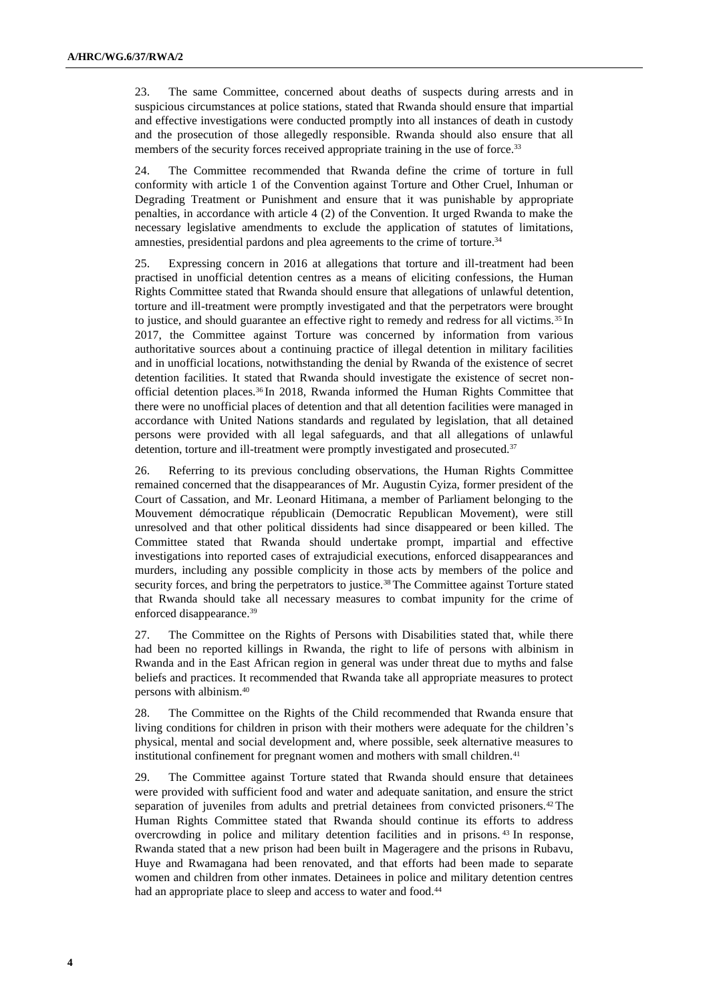23. The same Committee, concerned about deaths of suspects during arrests and in suspicious circumstances at police stations, stated that Rwanda should ensure that impartial and effective investigations were conducted promptly into all instances of death in custody and the prosecution of those allegedly responsible. Rwanda should also ensure that all members of the security forces received appropriate training in the use of force.<sup>33</sup>

24. The Committee recommended that Rwanda define the crime of torture in full conformity with article 1 of the Convention against Torture and Other Cruel, Inhuman or Degrading Treatment or Punishment and ensure that it was punishable by appropriate penalties, in accordance with article 4 (2) of the Convention. It urged Rwanda to make the necessary legislative amendments to exclude the application of statutes of limitations, amnesties, presidential pardons and plea agreements to the crime of torture.<sup>34</sup>

25. Expressing concern in 2016 at allegations that torture and ill-treatment had been practised in unofficial detention centres as a means of eliciting confessions, the Human Rights Committee stated that Rwanda should ensure that allegations of unlawful detention, torture and ill-treatment were promptly investigated and that the perpetrators were brought to justice, and should guarantee an effective right to remedy and redress for all victims.<sup>35</sup> In 2017, the Committee against Torture was concerned by information from various authoritative sources about a continuing practice of illegal detention in military facilities and in unofficial locations, notwithstanding the denial by Rwanda of the existence of secret detention facilities. It stated that Rwanda should investigate the existence of secret nonofficial detention places.<sup>36</sup> In 2018, Rwanda informed the Human Rights Committee that there were no unofficial places of detention and that all detention facilities were managed in accordance with United Nations standards and regulated by legislation, that all detained persons were provided with all legal safeguards, and that all allegations of unlawful detention, torture and ill-treatment were promptly investigated and prosecuted.<sup>37</sup>

26. Referring to its previous concluding observations, the Human Rights Committee remained concerned that the disappearances of Mr. Augustin Cyiza, former president of the Court of Cassation, and Mr. Leonard Hitimana, a member of Parliament belonging to the Mouvement démocratique républicain (Democratic Republican Movement), were still unresolved and that other political dissidents had since disappeared or been killed. The Committee stated that Rwanda should undertake prompt, impartial and effective investigations into reported cases of extrajudicial executions, enforced disappearances and murders, including any possible complicity in those acts by members of the police and security forces, and bring the perpetrators to justice.<sup>38</sup> The Committee against Torture stated that Rwanda should take all necessary measures to combat impunity for the crime of enforced disappearance.<sup>39</sup>

27. The Committee on the Rights of Persons with Disabilities stated that, while there had been no reported killings in Rwanda, the right to life of persons with albinism in Rwanda and in the East African region in general was under threat due to myths and false beliefs and practices. It recommended that Rwanda take all appropriate measures to protect persons with albinism.<sup>40</sup>

28. The Committee on the Rights of the Child recommended that Rwanda ensure that living conditions for children in prison with their mothers were adequate for the children's physical, mental and social development and, where possible, seek alternative measures to institutional confinement for pregnant women and mothers with small children.<sup>41</sup>

29. The Committee against Torture stated that Rwanda should ensure that detainees were provided with sufficient food and water and adequate sanitation, and ensure the strict separation of juveniles from adults and pretrial detainees from convicted prisoners.<sup>42</sup> The Human Rights Committee stated that Rwanda should continue its efforts to address overcrowding in police and military detention facilities and in prisons. <sup>43</sup> In response, Rwanda stated that a new prison had been built in Mageragere and the prisons in Rubavu, Huye and Rwamagana had been renovated, and that efforts had been made to separate women and children from other inmates. Detainees in police and military detention centres had an appropriate place to sleep and access to water and food.<sup>44</sup>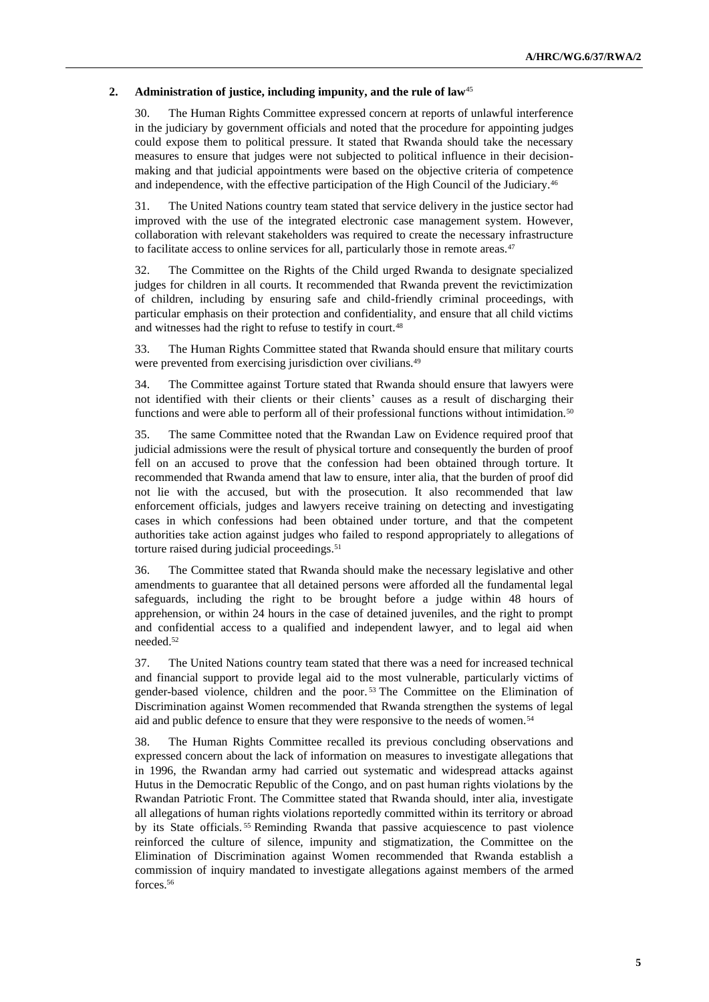## **2. Administration of justice, including impunity, and the rule of law**<sup>45</sup>

30. The Human Rights Committee expressed concern at reports of unlawful interference in the judiciary by government officials and noted that the procedure for appointing judges could expose them to political pressure. It stated that Rwanda should take the necessary measures to ensure that judges were not subjected to political influence in their decisionmaking and that judicial appointments were based on the objective criteria of competence and independence, with the effective participation of the High Council of the Judiciary.<sup>46</sup>

31. The United Nations country team stated that service delivery in the justice sector had improved with the use of the integrated electronic case management system. However, collaboration with relevant stakeholders was required to create the necessary infrastructure to facilitate access to online services for all, particularly those in remote areas.<sup>47</sup>

32. The Committee on the Rights of the Child urged Rwanda to designate specialized judges for children in all courts. It recommended that Rwanda prevent the revictimization of children, including by ensuring safe and child-friendly criminal proceedings, with particular emphasis on their protection and confidentiality, and ensure that all child victims and witnesses had the right to refuse to testify in court.<sup>48</sup>

33. The Human Rights Committee stated that Rwanda should ensure that military courts were prevented from exercising jurisdiction over civilians.<sup>49</sup>

34. The Committee against Torture stated that Rwanda should ensure that lawyers were not identified with their clients or their clients' causes as a result of discharging their functions and were able to perform all of their professional functions without intimidation.<sup>50</sup>

35. The same Committee noted that the Rwandan Law on Evidence required proof that judicial admissions were the result of physical torture and consequently the burden of proof fell on an accused to prove that the confession had been obtained through torture. It recommended that Rwanda amend that law to ensure, inter alia, that the burden of proof did not lie with the accused, but with the prosecution. It also recommended that law enforcement officials, judges and lawyers receive training on detecting and investigating cases in which confessions had been obtained under torture, and that the competent authorities take action against judges who failed to respond appropriately to allegations of torture raised during judicial proceedings.<sup>51</sup>

36. The Committee stated that Rwanda should make the necessary legislative and other amendments to guarantee that all detained persons were afforded all the fundamental legal safeguards, including the right to be brought before a judge within 48 hours of apprehension, or within 24 hours in the case of detained juveniles, and the right to prompt and confidential access to a qualified and independent lawyer, and to legal aid when needed.<sup>52</sup>

37. The United Nations country team stated that there was a need for increased technical and financial support to provide legal aid to the most vulnerable, particularly victims of gender-based violence, children and the poor. <sup>53</sup> The Committee on the Elimination of Discrimination against Women recommended that Rwanda strengthen the systems of legal aid and public defence to ensure that they were responsive to the needs of women.<sup>54</sup>

38. The Human Rights Committee recalled its previous concluding observations and expressed concern about the lack of information on measures to investigate allegations that in 1996, the Rwandan army had carried out systematic and widespread attacks against Hutus in the Democratic Republic of the Congo, and on past human rights violations by the Rwandan Patriotic Front. The Committee stated that Rwanda should, inter alia, investigate all allegations of human rights violations reportedly committed within its territory or abroad by its State officials. <sup>55</sup> Reminding Rwanda that passive acquiescence to past violence reinforced the culture of silence, impunity and stigmatization, the Committee on the Elimination of Discrimination against Women recommended that Rwanda establish a commission of inquiry mandated to investigate allegations against members of the armed forces.56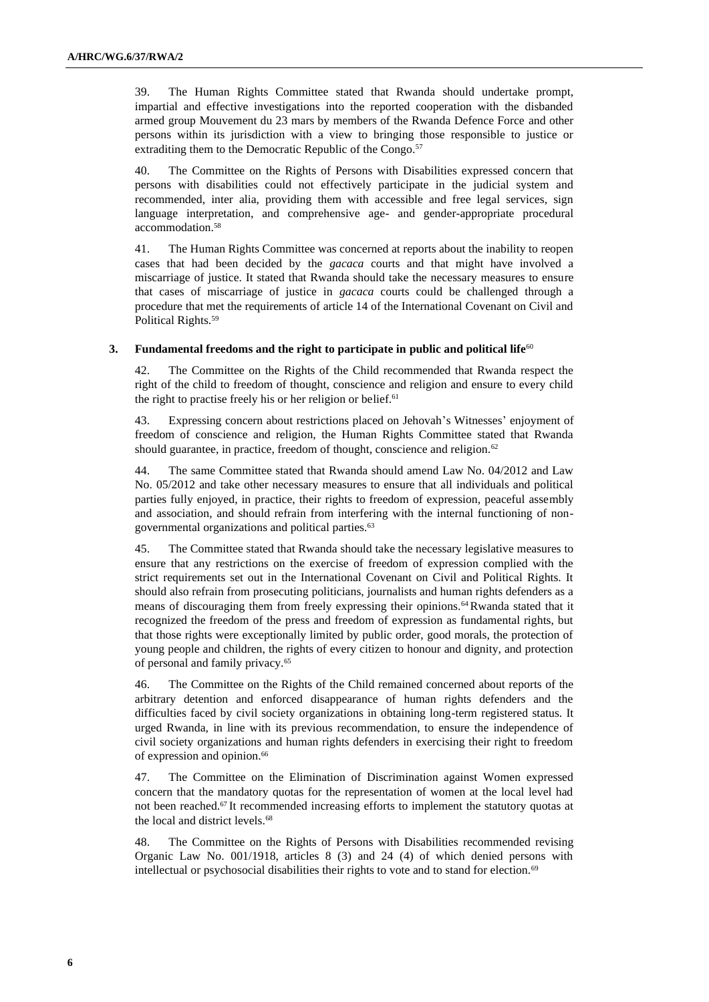39. The Human Rights Committee stated that Rwanda should undertake prompt, impartial and effective investigations into the reported cooperation with the disbanded armed group Mouvement du 23 mars by members of the Rwanda Defence Force and other persons within its jurisdiction with a view to bringing those responsible to justice or extraditing them to the Democratic Republic of the Congo.<sup>57</sup>

40. The Committee on the Rights of Persons with Disabilities expressed concern that persons with disabilities could not effectively participate in the judicial system and recommended, inter alia, providing them with accessible and free legal services, sign language interpretation, and comprehensive age- and gender-appropriate procedural accommodation.<sup>58</sup>

41. The Human Rights Committee was concerned at reports about the inability to reopen cases that had been decided by the *gacaca* courts and that might have involved a miscarriage of justice. It stated that Rwanda should take the necessary measures to ensure that cases of miscarriage of justice in *gacaca* courts could be challenged through a procedure that met the requirements of article 14 of the International Covenant on Civil and Political Rights.<sup>59</sup>

#### **3. Fundamental freedoms and the right to participate in public and political life**<sup>60</sup>

42. The Committee on the Rights of the Child recommended that Rwanda respect the right of the child to freedom of thought, conscience and religion and ensure to every child the right to practise freely his or her religion or belief.<sup>61</sup>

43. Expressing concern about restrictions placed on Jehovah's Witnesses' enjoyment of freedom of conscience and religion, the Human Rights Committee stated that Rwanda should guarantee, in practice, freedom of thought, conscience and religion.<sup>62</sup>

44. The same Committee stated that Rwanda should amend Law No. 04/2012 and Law No. 05/2012 and take other necessary measures to ensure that all individuals and political parties fully enjoyed, in practice, their rights to freedom of expression, peaceful assembly and association, and should refrain from interfering with the internal functioning of nongovernmental organizations and political parties.<sup>63</sup>

45. The Committee stated that Rwanda should take the necessary legislative measures to ensure that any restrictions on the exercise of freedom of expression complied with the strict requirements set out in the International Covenant on Civil and Political Rights. It should also refrain from prosecuting politicians, journalists and human rights defenders as a means of discouraging them from freely expressing their opinions.64Rwanda stated that it recognized the freedom of the press and freedom of expression as fundamental rights, but that those rights were exceptionally limited by public order, good morals, the protection of young people and children, the rights of every citizen to honour and dignity, and protection of personal and family privacy.<sup>65</sup>

46. The Committee on the Rights of the Child remained concerned about reports of the arbitrary detention and enforced disappearance of human rights defenders and the difficulties faced by civil society organizations in obtaining long-term registered status. It urged Rwanda, in line with its previous recommendation, to ensure the independence of civil society organizations and human rights defenders in exercising their right to freedom of expression and opinion.<sup>66</sup>

47. The Committee on the Elimination of Discrimination against Women expressed concern that the mandatory quotas for the representation of women at the local level had not been reached.<sup>67</sup> It recommended increasing efforts to implement the statutory quotas at the local and district levels.<sup>68</sup>

48. The Committee on the Rights of Persons with Disabilities recommended revising Organic Law No. 001/1918, articles 8 (3) and 24 (4) of which denied persons with intellectual or psychosocial disabilities their rights to vote and to stand for election.<sup>69</sup>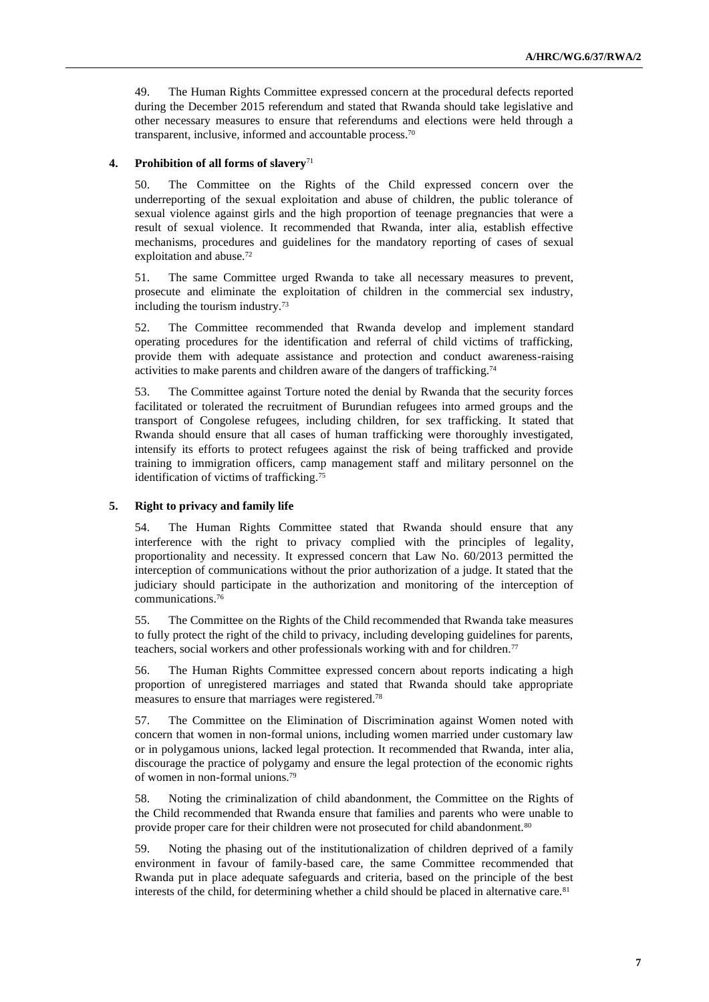49. The Human Rights Committee expressed concern at the procedural defects reported during the December 2015 referendum and stated that Rwanda should take legislative and other necessary measures to ensure that referendums and elections were held through a transparent, inclusive, informed and accountable process.<sup>70</sup>

#### **4. Prohibition of all forms of slavery**<sup>71</sup>

50. The Committee on the Rights of the Child expressed concern over the underreporting of the sexual exploitation and abuse of children, the public tolerance of sexual violence against girls and the high proportion of teenage pregnancies that were a result of sexual violence. It recommended that Rwanda, inter alia, establish effective mechanisms, procedures and guidelines for the mandatory reporting of cases of sexual exploitation and abuse.<sup>72</sup>

51. The same Committee urged Rwanda to take all necessary measures to prevent, prosecute and eliminate the exploitation of children in the commercial sex industry, including the tourism industry.<sup>73</sup>

52. The Committee recommended that Rwanda develop and implement standard operating procedures for the identification and referral of child victims of trafficking, provide them with adequate assistance and protection and conduct awareness-raising activities to make parents and children aware of the dangers of trafficking.<sup>74</sup>

53. The Committee against Torture noted the denial by Rwanda that the security forces facilitated or tolerated the recruitment of Burundian refugees into armed groups and the transport of Congolese refugees, including children, for sex trafficking. It stated that Rwanda should ensure that all cases of human trafficking were thoroughly investigated, intensify its efforts to protect refugees against the risk of being trafficked and provide training to immigration officers, camp management staff and military personnel on the identification of victims of trafficking.<sup>75</sup>

#### **5. Right to privacy and family life**

54. The Human Rights Committee stated that Rwanda should ensure that any interference with the right to privacy complied with the principles of legality, proportionality and necessity. It expressed concern that Law No. 60/2013 permitted the interception of communications without the prior authorization of a judge. It stated that the judiciary should participate in the authorization and monitoring of the interception of communications.<sup>76</sup>

55. The Committee on the Rights of the Child recommended that Rwanda take measures to fully protect the right of the child to privacy, including developing guidelines for parents, teachers, social workers and other professionals working with and for children.<sup>77</sup>

56. The Human Rights Committee expressed concern about reports indicating a high proportion of unregistered marriages and stated that Rwanda should take appropriate measures to ensure that marriages were registered.<sup>78</sup>

57. The Committee on the Elimination of Discrimination against Women noted with concern that women in non-formal unions, including women married under customary law or in polygamous unions, lacked legal protection. It recommended that Rwanda, inter alia, discourage the practice of polygamy and ensure the legal protection of the economic rights of women in non-formal unions.<sup>79</sup>

58. Noting the criminalization of child abandonment, the Committee on the Rights of the Child recommended that Rwanda ensure that families and parents who were unable to provide proper care for their children were not prosecuted for child abandonment.<sup>80</sup>

59. Noting the phasing out of the institutionalization of children deprived of a family environment in favour of family-based care, the same Committee recommended that Rwanda put in place adequate safeguards and criteria, based on the principle of the best interests of the child, for determining whether a child should be placed in alternative care.<sup>81</sup>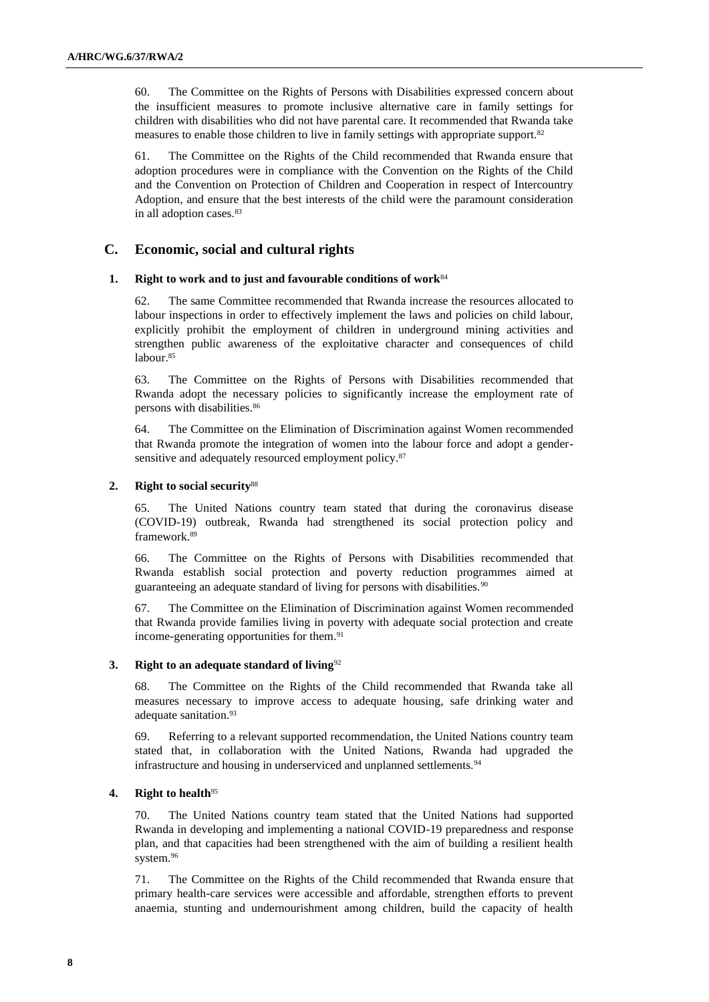60. The Committee on the Rights of Persons with Disabilities expressed concern about the insufficient measures to promote inclusive alternative care in family settings for children with disabilities who did not have parental care. It recommended that Rwanda take measures to enable those children to live in family settings with appropriate support.<sup>82</sup>

61. The Committee on the Rights of the Child recommended that Rwanda ensure that adoption procedures were in compliance with the Convention on the Rights of the Child and the Convention on Protection of Children and Cooperation in respect of Intercountry Adoption, and ensure that the best interests of the child were the paramount consideration in all adoption cases.<sup>83</sup>

## **C. Economic, social and cultural rights**

#### **1. Right to work and to just and favourable conditions of work**<sup>84</sup>

62. The same Committee recommended that Rwanda increase the resources allocated to labour inspections in order to effectively implement the laws and policies on child labour, explicitly prohibit the employment of children in underground mining activities and strengthen public awareness of the exploitative character and consequences of child labour.<sup>85</sup>

63. The Committee on the Rights of Persons with Disabilities recommended that Rwanda adopt the necessary policies to significantly increase the employment rate of persons with disabilities.<sup>86</sup>

64. The Committee on the Elimination of Discrimination against Women recommended that Rwanda promote the integration of women into the labour force and adopt a gendersensitive and adequately resourced employment policy.<sup>87</sup>

#### **2. Right to social security**<sup>88</sup>

65. The United Nations country team stated that during the coronavirus disease (COVID-19) outbreak, Rwanda had strengthened its social protection policy and framework.<sup>89</sup>

66. The Committee on the Rights of Persons with Disabilities recommended that Rwanda establish social protection and poverty reduction programmes aimed at guaranteeing an adequate standard of living for persons with disabilities.<sup>90</sup>

67. The Committee on the Elimination of Discrimination against Women recommended that Rwanda provide families living in poverty with adequate social protection and create income-generating opportunities for them.<sup>91</sup>

## **3. Right to an adequate standard of living**<sup>92</sup>

68. The Committee on the Rights of the Child recommended that Rwanda take all measures necessary to improve access to adequate housing, safe drinking water and adequate sanitation.<sup>93</sup>

69. Referring to a relevant supported recommendation, the United Nations country team stated that, in collaboration with the United Nations, Rwanda had upgraded the infrastructure and housing in underserviced and unplanned settlements.<sup>94</sup>

#### **4. Right to health**<sup>95</sup>

70. The United Nations country team stated that the United Nations had supported Rwanda in developing and implementing a national COVID-19 preparedness and response plan, and that capacities had been strengthened with the aim of building a resilient health system.<sup>96</sup>

71. The Committee on the Rights of the Child recommended that Rwanda ensure that primary health-care services were accessible and affordable, strengthen efforts to prevent anaemia, stunting and undernourishment among children, build the capacity of health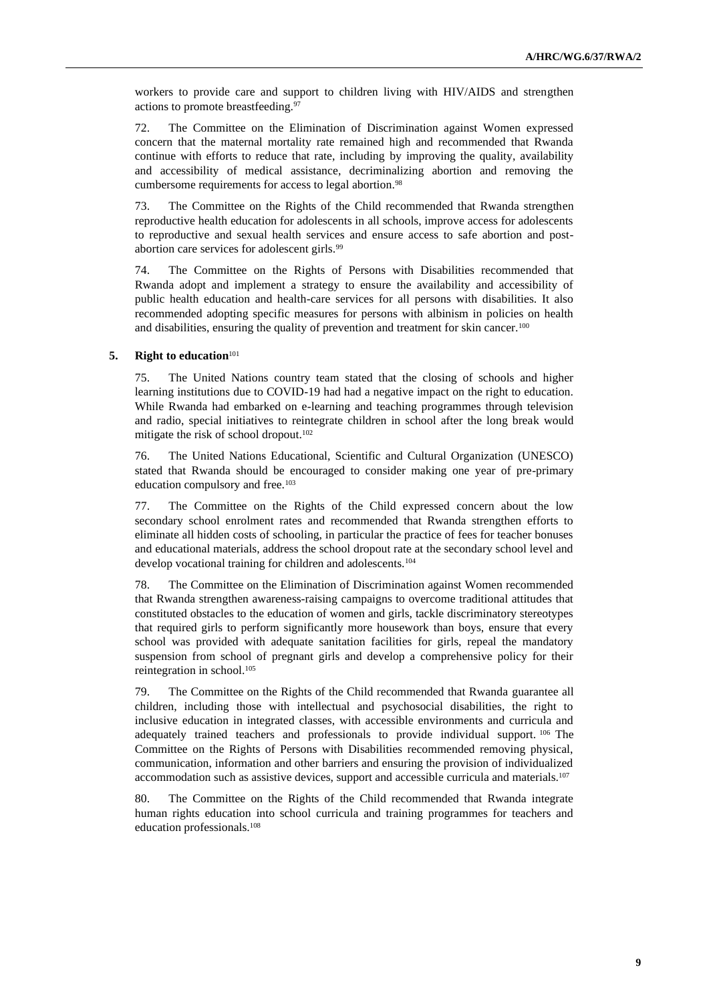workers to provide care and support to children living with HIV/AIDS and strengthen actions to promote breastfeeding.<sup>97</sup>

72. The Committee on the Elimination of Discrimination against Women expressed concern that the maternal mortality rate remained high and recommended that Rwanda continue with efforts to reduce that rate, including by improving the quality, availability and accessibility of medical assistance, decriminalizing abortion and removing the cumbersome requirements for access to legal abortion.<sup>98</sup>

73. The Committee on the Rights of the Child recommended that Rwanda strengthen reproductive health education for adolescents in all schools, improve access for adolescents to reproductive and sexual health services and ensure access to safe abortion and postabortion care services for adolescent girls.<sup>99</sup>

74. The Committee on the Rights of Persons with Disabilities recommended that Rwanda adopt and implement a strategy to ensure the availability and accessibility of public health education and health-care services for all persons with disabilities. It also recommended adopting specific measures for persons with albinism in policies on health and disabilities, ensuring the quality of prevention and treatment for skin cancer.<sup>100</sup>

#### **5. Right to education**<sup>101</sup>

75. The United Nations country team stated that the closing of schools and higher learning institutions due to COVID-19 had had a negative impact on the right to education. While Rwanda had embarked on e-learning and teaching programmes through television and radio, special initiatives to reintegrate children in school after the long break would mitigate the risk of school dropout.<sup>102</sup>

76. The United Nations Educational, Scientific and Cultural Organization (UNESCO) stated that Rwanda should be encouraged to consider making one year of pre-primary education compulsory and free.<sup>103</sup>

77. The Committee on the Rights of the Child expressed concern about the low secondary school enrolment rates and recommended that Rwanda strengthen efforts to eliminate all hidden costs of schooling, in particular the practice of fees for teacher bonuses and educational materials, address the school dropout rate at the secondary school level and develop vocational training for children and adolescents.<sup>104</sup>

78. The Committee on the Elimination of Discrimination against Women recommended that Rwanda strengthen awareness-raising campaigns to overcome traditional attitudes that constituted obstacles to the education of women and girls, tackle discriminatory stereotypes that required girls to perform significantly more housework than boys, ensure that every school was provided with adequate sanitation facilities for girls, repeal the mandatory suspension from school of pregnant girls and develop a comprehensive policy for their reintegration in school.<sup>105</sup>

79. The Committee on the Rights of the Child recommended that Rwanda guarantee all children, including those with intellectual and psychosocial disabilities, the right to inclusive education in integrated classes, with accessible environments and curricula and adequately trained teachers and professionals to provide individual support. <sup>106</sup> The Committee on the Rights of Persons with Disabilities recommended removing physical, communication, information and other barriers and ensuring the provision of individualized accommodation such as assistive devices, support and accessible curricula and materials.<sup>107</sup>

80. The Committee on the Rights of the Child recommended that Rwanda integrate human rights education into school curricula and training programmes for teachers and education professionals.108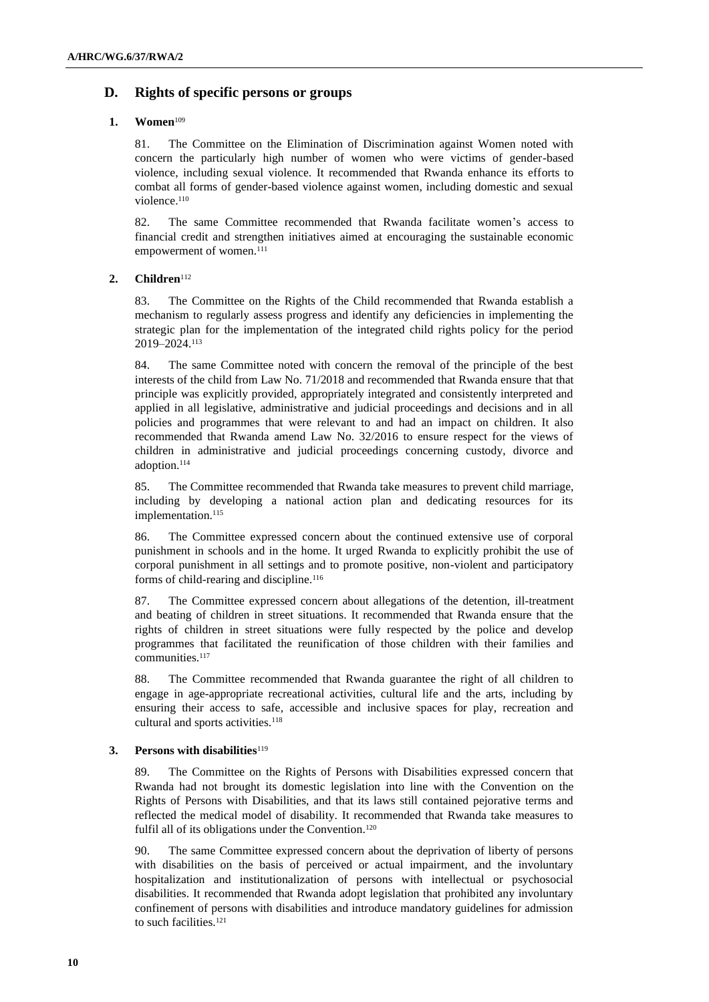## **D. Rights of specific persons or groups**

## **1. Women**<sup>109</sup>

81. The Committee on the Elimination of Discrimination against Women noted with concern the particularly high number of women who were victims of gender-based violence, including sexual violence. It recommended that Rwanda enhance its efforts to combat all forms of gender-based violence against women, including domestic and sexual violence.<sup>110</sup>

82. The same Committee recommended that Rwanda facilitate women's access to financial credit and strengthen initiatives aimed at encouraging the sustainable economic empowerment of women.<sup>111</sup>

## **2. Children**<sup>112</sup>

83. The Committee on the Rights of the Child recommended that Rwanda establish a mechanism to regularly assess progress and identify any deficiencies in implementing the strategic plan for the implementation of the integrated child rights policy for the period 2019–2024.<sup>113</sup>

84. The same Committee noted with concern the removal of the principle of the best interests of the child from Law No. 71/2018 and recommended that Rwanda ensure that that principle was explicitly provided, appropriately integrated and consistently interpreted and applied in all legislative, administrative and judicial proceedings and decisions and in all policies and programmes that were relevant to and had an impact on children. It also recommended that Rwanda amend Law No. 32/2016 to ensure respect for the views of children in administrative and judicial proceedings concerning custody, divorce and adoption.<sup>114</sup>

85. The Committee recommended that Rwanda take measures to prevent child marriage, including by developing a national action plan and dedicating resources for its implementation.<sup>115</sup>

86. The Committee expressed concern about the continued extensive use of corporal punishment in schools and in the home. It urged Rwanda to explicitly prohibit the use of corporal punishment in all settings and to promote positive, non-violent and participatory forms of child-rearing and discipline.<sup>116</sup>

87. The Committee expressed concern about allegations of the detention, ill-treatment and beating of children in street situations. It recommended that Rwanda ensure that the rights of children in street situations were fully respected by the police and develop programmes that facilitated the reunification of those children with their families and communities.<sup>117</sup>

88. The Committee recommended that Rwanda guarantee the right of all children to engage in age-appropriate recreational activities, cultural life and the arts, including by ensuring their access to safe, accessible and inclusive spaces for play, recreation and cultural and sports activities.<sup>118</sup>

## **3.** Persons with disabilities<sup>119</sup>

89. The Committee on the Rights of Persons with Disabilities expressed concern that Rwanda had not brought its domestic legislation into line with the Convention on the Rights of Persons with Disabilities, and that its laws still contained pejorative terms and reflected the medical model of disability. It recommended that Rwanda take measures to fulfil all of its obligations under the Convention.<sup>120</sup>

90. The same Committee expressed concern about the deprivation of liberty of persons with disabilities on the basis of perceived or actual impairment, and the involuntary hospitalization and institutionalization of persons with intellectual or psychosocial disabilities. It recommended that Rwanda adopt legislation that prohibited any involuntary confinement of persons with disabilities and introduce mandatory guidelines for admission to such facilities.<sup>121</sup>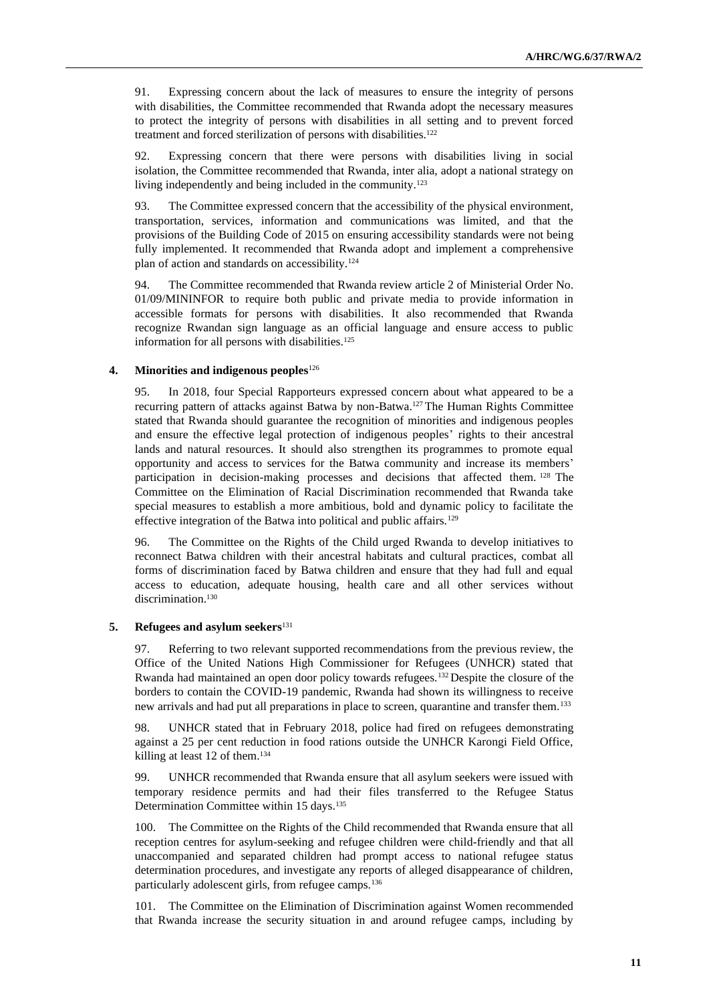91. Expressing concern about the lack of measures to ensure the integrity of persons with disabilities, the Committee recommended that Rwanda adopt the necessary measures to protect the integrity of persons with disabilities in all setting and to prevent forced treatment and forced sterilization of persons with disabilities.<sup>122</sup>

92. Expressing concern that there were persons with disabilities living in social isolation, the Committee recommended that Rwanda, inter alia, adopt a national strategy on living independently and being included in the community.<sup>123</sup>

93. The Committee expressed concern that the accessibility of the physical environment, transportation, services, information and communications was limited, and that the provisions of the Building Code of 2015 on ensuring accessibility standards were not being fully implemented. It recommended that Rwanda adopt and implement a comprehensive plan of action and standards on accessibility.<sup>124</sup>

94. The Committee recommended that Rwanda review article 2 of Ministerial Order No. 01/09/MININFOR to require both public and private media to provide information in accessible formats for persons with disabilities. It also recommended that Rwanda recognize Rwandan sign language as an official language and ensure access to public information for all persons with disabilities.<sup>125</sup>

#### **4. Minorities and indigenous peoples**<sup>126</sup>

95. In 2018, four Special Rapporteurs expressed concern about what appeared to be a recurring pattern of attacks against Batwa by non-Batwa.<sup>127</sup> The Human Rights Committee stated that Rwanda should guarantee the recognition of minorities and indigenous peoples and ensure the effective legal protection of indigenous peoples' rights to their ancestral lands and natural resources. It should also strengthen its programmes to promote equal opportunity and access to services for the Batwa community and increase its members' participation in decision-making processes and decisions that affected them. <sup>128</sup> The Committee on the Elimination of Racial Discrimination recommended that Rwanda take special measures to establish a more ambitious, bold and dynamic policy to facilitate the effective integration of the Batwa into political and public affairs.<sup>129</sup>

96. The Committee on the Rights of the Child urged Rwanda to develop initiatives to reconnect Batwa children with their ancestral habitats and cultural practices, combat all forms of discrimination faced by Batwa children and ensure that they had full and equal access to education, adequate housing, health care and all other services without discrimination.<sup>130</sup>

#### **5. Refugees and asylum seekers**<sup>131</sup>

97. Referring to two relevant supported recommendations from the previous review, the Office of the United Nations High Commissioner for Refugees (UNHCR) stated that Rwanda had maintained an open door policy towards refugees.<sup>132</sup> Despite the closure of the borders to contain the COVID-19 pandemic, Rwanda had shown its willingness to receive new arrivals and had put all preparations in place to screen, quarantine and transfer them.<sup>133</sup>

98. UNHCR stated that in February 2018, police had fired on refugees demonstrating against a 25 per cent reduction in food rations outside the UNHCR Karongi Field Office, killing at least 12 of them.<sup>134</sup>

99. UNHCR recommended that Rwanda ensure that all asylum seekers were issued with temporary residence permits and had their files transferred to the Refugee Status Determination Committee within 15 days.<sup>135</sup>

The Committee on the Rights of the Child recommended that Rwanda ensure that all reception centres for asylum-seeking and refugee children were child-friendly and that all unaccompanied and separated children had prompt access to national refugee status determination procedures, and investigate any reports of alleged disappearance of children, particularly adolescent girls, from refugee camps.<sup>136</sup>

101. The Committee on the Elimination of Discrimination against Women recommended that Rwanda increase the security situation in and around refugee camps, including by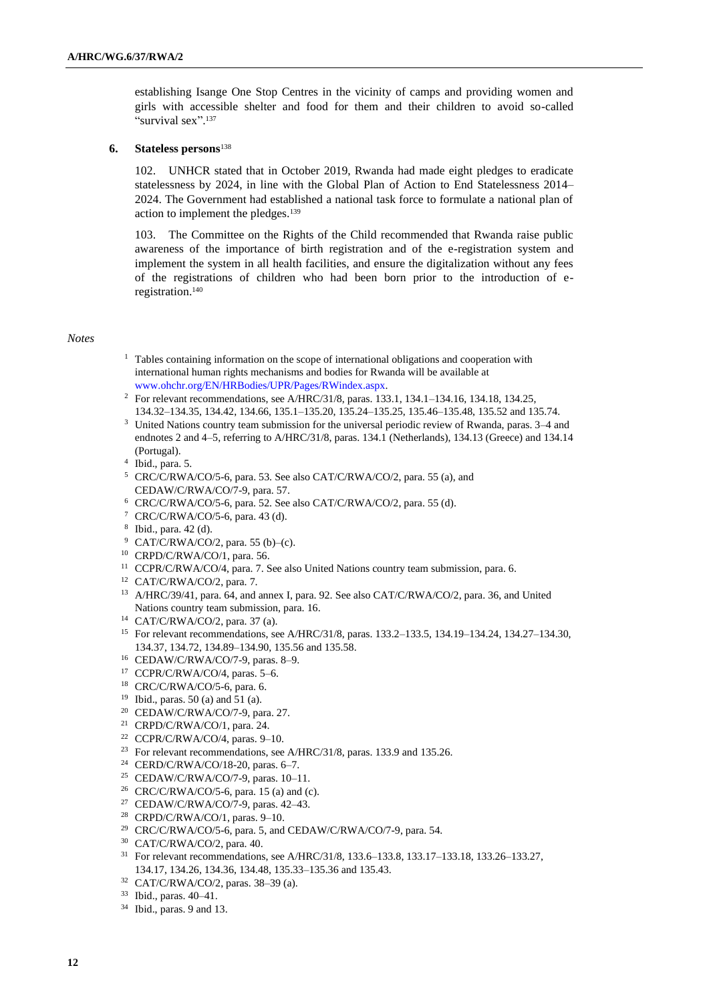establishing Isange One Stop Centres in the vicinity of camps and providing women and girls with accessible shelter and food for them and their children to avoid so-called "survival sex". 137

#### **6. Stateless persons**<sup>138</sup>

102. UNHCR stated that in October 2019, Rwanda had made eight pledges to eradicate statelessness by 2024, in line with the Global Plan of Action to End Statelessness 2014– 2024. The Government had established a national task force to formulate a national plan of action to implement the pledges.<sup>139</sup>

103. The Committee on the Rights of the Child recommended that Rwanda raise public awareness of the importance of birth registration and of the e-registration system and implement the system in all health facilities, and ensure the digitalization without any fees of the registrations of children who had been born prior to the introduction of eregistration.<sup>140</sup>

#### *Notes*

- <sup>1</sup> Tables containing information on the scope of international obligations and cooperation with international human rights mechanisms and bodies for Rwanda will be available at [www.ohchr.org/EN/HRBodies/UPR/Pages/RWindex.aspx.](http://www.ohchr.org/EN/HRBodies/UPR/Pages/RWindex.aspx)
- <sup>2</sup> For relevant recommendations, see A/HRC/31/8, paras. 133.1, 134.1–134.16, 134.18, 134.25, 134.32–134.35, 134.42, 134.66, 135.1–135.20, 135.24–135.25, 135.46–135.48, 135.52 and 135.74.
- <sup>3</sup> United Nations country team submission for the universal periodic review of Rwanda, paras. 3–4 and endnotes 2 and 4–5, referring to A/HRC/31/8, paras. 134.1 (Netherlands), 134.13 (Greece) and 134.14 (Portugal).
- 4 Ibid., para. 5.
- <sup>5</sup> CRC/C/RWA/CO/5-6, para. 53. See also CAT/C/RWA/CO/2, para. 55 (a), and CEDAW/C/RWA/CO/7-9, para. 57.
- <sup>6</sup> CRC/C/RWA/CO/5-6, para. 52. See also CAT/C/RWA/CO/2, para. 55 (d).
- <sup>7</sup> CRC/C/RWA/CO/5-6, para. 43 (d).
- 8 Ibid., para. 42 (d).
- <sup>9</sup> CAT/C/RWA/CO/2, para. 55 (b)–(c).
- <sup>10</sup> CRPD/C/RWA/CO/1, para. 56.
- <sup>11</sup> CCPR/C/RWA/CO/4, para. 7. See also United Nations country team submission, para. 6.
- <sup>12</sup> CAT/C/RWA/CO/2, para. 7.
- <sup>13</sup> A/HRC/39/41, para. 64, and annex I, para. 92. See also CAT/C/RWA/CO/2, para. 36, and United Nations country team submission, para. 16.
- <sup>14</sup> CAT/C/RWA/CO/2, para. 37 (a).
- <sup>15</sup> For relevant recommendations, see A/HRC/31/8, paras. 133.2–133.5, 134.19–134.24, 134.27–134.30, 134.37, 134.72, 134.89–134.90, 135.56 and 135.58.
- <sup>16</sup> CEDAW/C/RWA/CO/7-9, paras. 8–9.
- <sup>17</sup> CCPR/C/RWA/CO/4, paras. 5–6.
- <sup>18</sup> CRC/C/RWA/CO/5-6, para. 6.
- <sup>19</sup> Ibid., paras. 50 (a) and 51 (a).
- <sup>20</sup> CEDAW/C/RWA/CO/7-9, para. 27.
- <sup>21</sup> CRPD/C/RWA/CO/1, para. 24.
- <sup>22</sup> CCPR/C/RWA/CO/4, paras. 9–10.
- <sup>23</sup> For relevant recommendations, see A/HRC/31/8, paras. 133.9 and 135.26.
- <sup>24</sup> CERD/C/RWA/CO/18-20, paras. 6–7.
- <sup>25</sup> CEDAW/C/RWA/CO/7-9, paras. 10–11.
- <sup>26</sup> CRC/C/RWA/CO/5-6, para. 15 (a) and (c).
- <sup>27</sup> CEDAW/C/RWA/CO/7-9, paras. 42–43.
- <sup>28</sup> CRPD/C/RWA/CO/1, paras. 9–10.
- <sup>29</sup> CRC/C/RWA/CO/5-6, para. 5, and CEDAW/C/RWA/CO/7-9, para. 54.
- <sup>30</sup> CAT/C/RWA/CO/2, para. 40.
- <sup>31</sup> For relevant recommendations, see A/HRC/31/8, 133.6–133.8, 133.17–133.18, 133.26–133.27, 134.17, 134.26, 134.36, 134.48, 135.33–135.36 and 135.43.
- <sup>32</sup> CAT/C/RWA/CO/2, paras. 38–39 (a).
- <sup>33</sup> Ibid., paras. 40–41.
- <sup>34</sup> Ibid., paras. 9 and 13.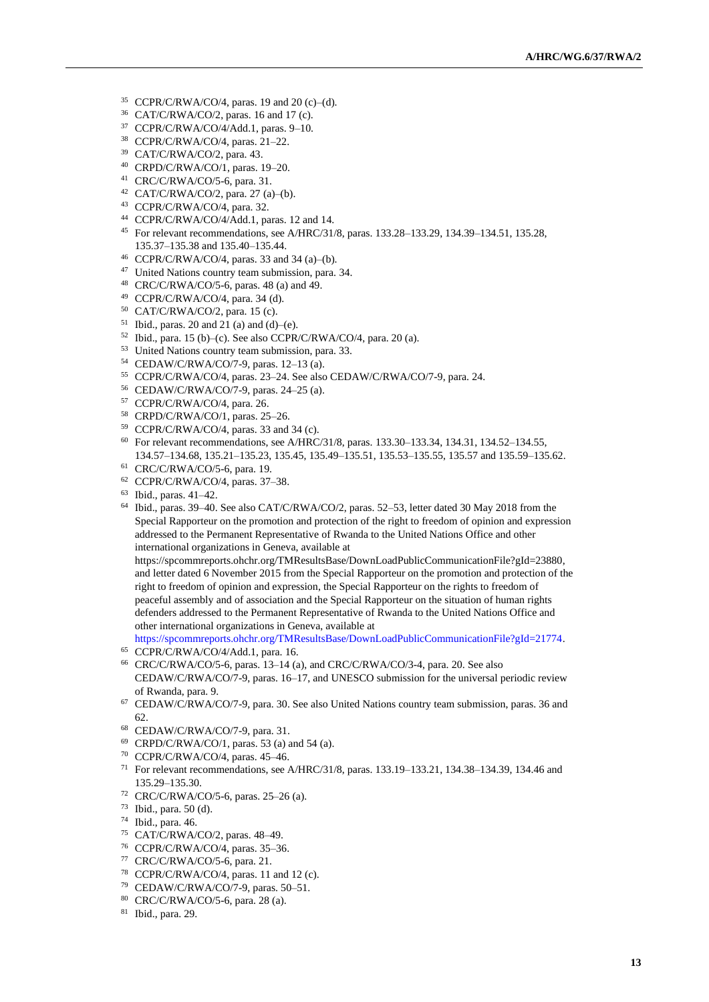- CCPR/C/RWA/CO/4, paras. 19 and 20 (c)–(d).
- CAT/C/RWA/CO/2, paras. 16 and 17 (c).
- CCPR/C/RWA/CO/4/Add.1, paras. 9–10.
- CCPR/C/RWA/CO/4, paras. 21–22.
- CAT/C/RWA/CO/2, para. 43.
- CRPD/C/RWA/CO/1, paras. 19–20.
- CRC/C/RWA/CO/5-6, para. 31.
- CAT/C/RWA/CO/2, para. 27 (a)–(b).
- CCPR/C/RWA/CO/4, para. 32.
- CCPR/C/RWA/CO/4/Add.1, paras. 12 and 14.
- For relevant recommendations, see A/HRC/31/8, paras. 133.28–133.29, 134.39–134.51, 135.28, 135.37–135.38 and 135.40–135.44.
- CCPR/C/RWA/CO/4, paras. 33 and 34 (a)–(b).
- United Nations country team submission, para. 34.
- CRC/C/RWA/CO/5-6, paras. 48 (a) and 49.
- CCPR/C/RWA/CO/4, para. 34 (d).
- CAT/C/RWA/CO/2, para. 15 (c).
- <sup>51</sup> Ibid., paras. 20 and 21 (a) and (d)–(e).
- Ibid., para. 15 (b)–(c). See also CCPR/C/RWA/CO/4, para. 20 (a).
- United Nations country team submission, para. 33.
- CEDAW/C/RWA/CO/7-9, paras. 12–13 (a).
- CCPR/C/RWA/CO/4, paras. 23–24. See also CEDAW/C/RWA/CO/7-9, para. 24.
- CEDAW/C/RWA/CO/7-9, paras. 24–25 (a).
- CCPR/C/RWA/CO/4, para. 26.
- CRPD/C/RWA/CO/1, paras. 25–26.
- CCPR/C/RWA/CO/4, paras. 33 and 34 (c).
- For relevant recommendations, see A/HRC/31/8, paras. 133.30–133.34, 134.31, 134.52–134.55, 134.57–134.68, 135.21–135.23, 135.45, 135.49–135.51, 135.53–135.55, 135.57 and 135.59–135.62.
- CRC/C/RWA/CO/5-6, para. 19.
- CCPR/C/RWA/CO/4, paras. 37–38.
- Ibid., paras. 41–42.
- Ibid., paras. 39–40. See also CAT/C/RWA/CO/2, paras. 52–53, letter dated 30 May 2018 from the Special Rapporteur on the promotion and protection of the right to freedom of opinion and expression addressed to the Permanent Representative of Rwanda to the United Nations Office and other international organizations in Geneva, available at

[https://spcommreports.ohchr.org/TMResultsBase/DownLoadPublicCommunicationFile?gId=23880,](https://spcommreports.ohchr.org/TMResultsBase/DownLoadPublicCommunicationFile?gId=23880)  and letter dated 6 November 2015 from the Special Rapporteur on the promotion and protection of the right to freedom of opinion and expression, the Special Rapporteur on the rights to freedom of peaceful assembly and of association and the Special Rapporteur on the situation of human rights defenders addressed to the Permanent Representative of Rwanda to the United Nations Office and other international organizations in Geneva, available at

[https://spcommreports.ohchr.org/TMResultsBase/DownLoadPublicCommunicationFile?gId=21774.](https://spcommreports.ohchr.org/TMResultsBase/DownLoadPublicCommunicationFile?gId=21774)

- CCPR/C/RWA/CO/4/Add.1, para. 16.
- <sup>66</sup> CRC/C/RWA/CO/5-6, paras. 13–14 (a), and CRC/C/RWA/CO/3-4, para. 20. See also CEDAW/C/RWA/CO/7-9, paras. 16–17, and UNESCO submission for the universal periodic review of Rwanda, para. 9.
- CEDAW/C/RWA/CO/7-9, para. 30. See also United Nations country team submission, paras. 36 and 62.
- CEDAW/C/RWA/CO/7-9, para. 31.
- CRPD/C/RWA/CO/1, paras. 53 (a) and 54 (a).
- CCPR/C/RWA/CO/4, paras. 45–46.
- For relevant recommendations, see A/HRC/31/8, paras. 133.19–133.21, 134.38–134.39, 134.46 and 135.29–135.30.
- CRC/C/RWA/CO/5-6, paras. 25–26 (a).
- Ibid., para. 50 (d).
- Ibid., para. 46.
- CAT/C/RWA/CO/2, paras. 48–49.
- CCPR/C/RWA/CO/4, paras. 35–36.
- CRC/C/RWA/CO/5-6, para. 21.
- CCPR/C/RWA/CO/4, paras. 11 and 12 (c).
- CEDAW/C/RWA/CO/7-9, paras. 50–51.
- CRC/C/RWA/CO/5-6, para. 28 (a).
- Ibid., para. 29.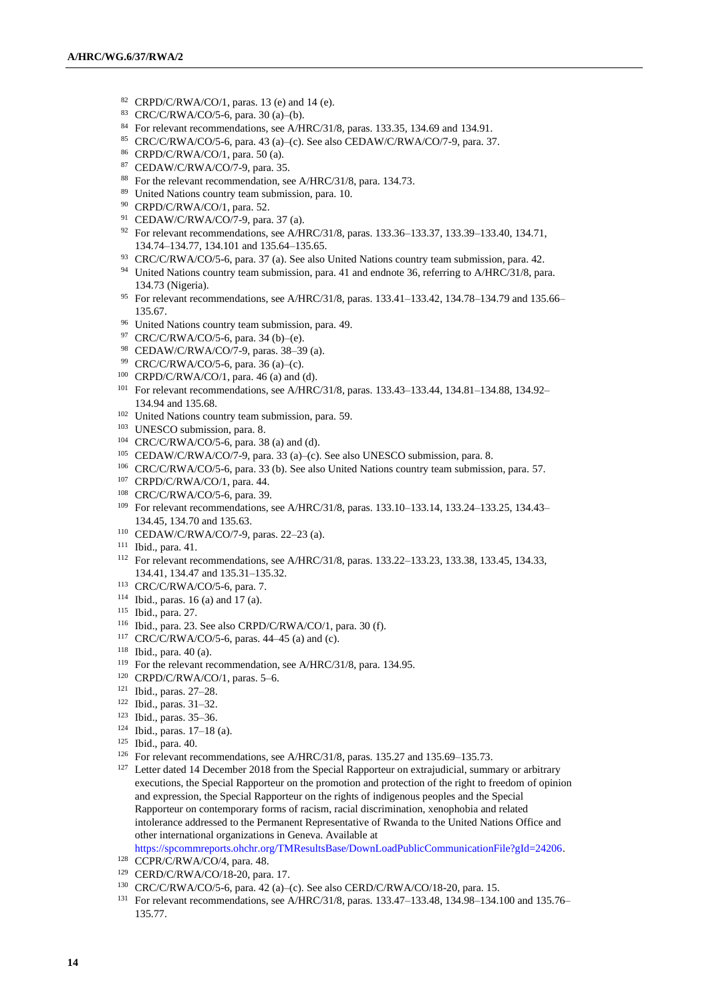- CRPD/C/RWA/CO/1, paras. 13 (e) and 14 (e).
- CRC/C/RWA/CO/5-6, para. 30 (a)–(b).
- For relevant recommendations, see A/HRC/31/8, paras. 133.35, 134.69 and 134.91.
- CRC/C/RWA/CO/5-6, para. 43 (a)–(c). See also CEDAW/C/RWA/CO/7-9, para. 37.
- CRPD/C/RWA/CO/1, para. 50 (a).
- CEDAW/C/RWA/CO/7-9, para. 35.
- For the relevant recommendation, see A/HRC/31/8, para. 134.73.
- United Nations country team submission, para. 10.
- CRPD/C/RWA/CO/1, para. 52.
- CEDAW/C/RWA/CO/7-9, para. 37 (a).
- 92 For relevant recommendations, see A/HRC/31/8, paras. 133.36–133.37, 133.39–133.40, 134.71, 134.74–134.77, 134.101 and 135.64–135.65.
- CRC/C/RWA/CO/5-6, para. 37 (a). See also United Nations country team submission, para. 42.
- <sup>94</sup> United Nations country team submission, para. 41 and endnote 36, referring to A/HRC/31/8, para. 134.73 (Nigeria).
- For relevant recommendations, see A/HRC/31/8, paras. 133.41–133.42, 134.78–134.79 and 135.66– 135.67.
- United Nations country team submission, para. 49.
- CRC/C/RWA/CO/5-6, para. 34 (b)–(e).
- CEDAW/C/RWA/CO/7-9, paras. 38–39 (a).
- CRC/C/RWA/CO/5-6, para. 36 (a)–(c).
- CRPD/C/RWA/CO/1, para. 46 (a) and (d).
- For relevant recommendations, see A/HRC/31/8, paras. 133.43–133.44, 134.81–134.88, 134.92– 134.94 and 135.68.
- United Nations country team submission, para. 59.
- <sup>103</sup> UNESCO submission, para. 8.
- CRC/C/RWA/CO/5-6, para. 38 (a) and (d).
- CEDAW/C/RWA/CO/7-9, para. 33 (a)–(c). See also UNESCO submission, para. 8.
- CRC/C/RWA/CO/5-6, para. 33 (b). See also United Nations country team submission, para. 57.
- CRPD/C/RWA/CO/1, para. 44.
- CRC/C/RWA/CO/5-6, para. 39.
- For relevant recommendations, see A/HRC/31/8, paras. 133.10–133.14, 133.24–133.25, 134.43– 134.45, 134.70 and 135.63.
- CEDAW/C/RWA/CO/7-9, paras. 22–23 (a).
- Ibid., para. 41.
- For relevant recommendations, see A/HRC/31/8, paras. 133.22–133.23, 133.38, 133.45, 134.33, 134.41, 134.47 and 135.31–135.32.
- CRC/C/RWA/CO/5-6, para. 7.
- Ibid., paras. 16 (a) and 17 (a).
- Ibid., para. 27.
- <sup>116</sup> Ibid., para. 23. See also CRPD/C/RWA/CO/1, para. 30 (f).
- CRC/C/RWA/CO/5-6, paras. 44–45 (a) and (c).
- Ibid., para. 40 (a).
- For the relevant recommendation, see A/HRC/31/8, para. 134.95.
- CRPD/C/RWA/CO/1, paras. 5–6.
- Ibid., paras. 27–28.
- Ibid., paras. 31–32.
- Ibid., paras. 35–36.
- Ibid., paras. 17–18 (a).
- Ibid., para. 40.
- For relevant recommendations, see A/HRC/31/8, paras. 135.27 and 135.69–135.73.
- <sup>127</sup> Letter dated 14 December 2018 from the Special Rapporteur on extrajudicial, summary or arbitrary executions, the Special Rapporteur on the promotion and protection of the right to freedom of opinion and expression, the Special Rapporteur on the rights of indigenous peoples and the Special Rapporteur on contemporary forms of racism, racial discrimination, xenophobia and related intolerance addressed to the Permanent Representative of Rwanda to the United Nations Office and other international organizations in Geneva. Available at [https://spcommreports.ohchr.org/TMResultsBase/DownLoadPublicCommunicationFile?gId=24206.](https://spcommreports.ohchr.org/TMResultsBase/DownLoadPublicCommunicationFile?gId=24206)
- 128 CCPR/C/RWA/CO/4, para. 48.
- CERD/C/RWA/CO/18-20, para. 17.
- CRC/C/RWA/CO/5-6, para. 42 (a)–(c). See also CERD/C/RWA/CO/18-20, para. 15.
- For relevant recommendations, see A/HRC/31/8, paras. 133.47–133.48, 134.98–134.100 and 135.76– 135.77.